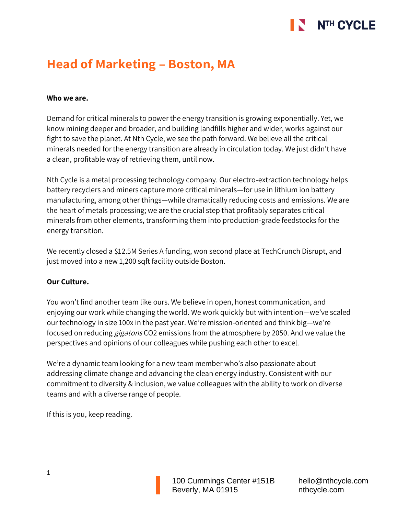# NTH CYCLE

# **Head of Marketing – Boston, MA**

## **Who we are.**

Demand for critical minerals to power the energy transition is growing exponentially. Yet, we know mining deeper and broader, and building landfills higher and wider, works against our fight to save the planet. At Nth Cycle, we see the path forward. We believe all the critical minerals needed for the energy transition are already in circulation today. We just didn't have a clean, profitable way of retrieving them, until now.

Nth Cycle is a metal processing technology company. Our electro-extraction technology helps battery recyclers and miners capture more critical minerals—for use in lithium ion battery manufacturing, among other things—while dramatically reducing costs and emissions. We are the heart of metals processing; we are the crucial step that profitably separates critical minerals from other elements, transforming them into production-grade feedstocks for the energy transition.

We recently closed a \$12.5M Series A funding, won second place at TechCrunch Disrupt, and just moved into a new 1,200 sqft facility outside Boston.

### **Our Culture.**

You won't find another team like ours. We believe in open, honest communication, and enjoying our work while changing the world. We work quickly but with intention—we've scaled our technology in size 100x in the past year. We're mission-oriented and think big—we're focused on reducing *gigatons* CO2 emissions from the atmosphere by 2050. And we value the perspectives and opinions of our colleagues while pushing each other to excel.

We're a dynamic team looking for a new team member who's also passionate about addressing climate change and advancing the clean energy industry. Consistent with our commitment to diversity & inclusion, we value colleagues with the ability to work on diverse teams and with a diverse range of people.

If this is you, keep reading.

100 Cummings Center #151B Beverly, MA 01915

hello@nthcycle.com nthcycle.com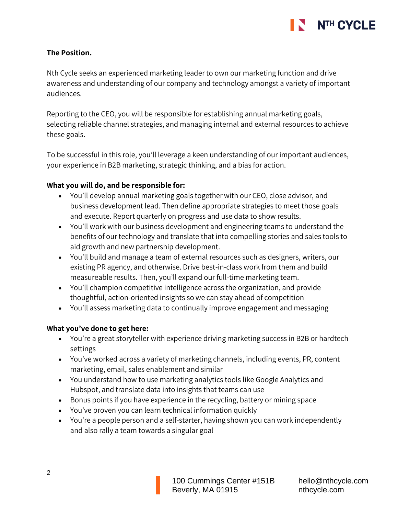

# **The Position.**

Nth Cycle seeks an experienced marketing leader to own our marketing function and drive awareness and understanding of our company and technology amongst a variety of important audiences.

Reporting to the CEO, you will be responsible for establishing annual marketing goals, selecting reliable channel strategies, and managing internal and external resources to achieve these goals.

To be successful in this role, you'll leverage a keen understanding of our important audiences, your experience in B2B marketing, strategic thinking, and a bias for action.

# **What you will do, and be responsible for:**

- You'll develop annual marketing goals together with our CEO, close advisor, and business development lead. Then define appropriate strategies to meet those goals and execute. Report quarterly on progress and use data to show results.
- You'll work with our business development and engineering teams to understand the benefits of our technology and translate that into compelling stories and sales tools to aid growth and new partnership development.
- You'll build and manage a team of external resources such as designers, writers, our existing PR agency, and otherwise. Drive best-in-class work from them and build measureable results. Then, you'll expand our full-time marketing team.
- You'll champion competitive intelligence across the organization, and provide thoughtful, action-oriented insights so we can stay ahead of competition
- You'll assess marketing data to continually improve engagement and messaging

### **What you've done to get here:**

- You're a great storyteller with experience driving marketing success in B2B or hardtech settings
- You've worked across a variety of marketing channels, including events, PR, content marketing, email, sales enablement and similar
- You understand how to use marketing analytics tools like Google Analytics and Hubspot, and translate data into insights that teams can use
- Bonus points if you have experience in the recycling, battery or mining space
- You've proven you can learn technical information quickly
- You're a people person and a self-starter, having shown you can work independently and also rally a team towards a singular goal